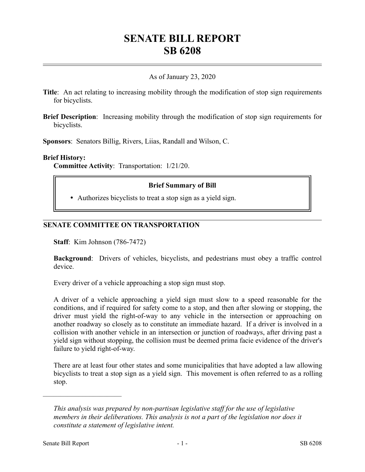# **SENATE BILL REPORT SB 6208**

# As of January 23, 2020

- **Title**: An act relating to increasing mobility through the modification of stop sign requirements for bicyclists.
- **Brief Description**: Increasing mobility through the modification of stop sign requirements for bicyclists.

**Sponsors**: Senators Billig, Rivers, Liias, Randall and Wilson, C.

#### **Brief History:**

**Committee Activity**: Transportation: 1/21/20.

## **Brief Summary of Bill**

Authorizes bicyclists to treat a stop sign as a yield sign.

#### **SENATE COMMITTEE ON TRANSPORTATION**

**Staff**: Kim Johnson (786-7472)

**Background**: Drivers of vehicles, bicyclists, and pedestrians must obey a traffic control device.

Every driver of a vehicle approaching a stop sign must stop.

A driver of a vehicle approaching a yield sign must slow to a speed reasonable for the conditions, and if required for safety come to a stop, and then after slowing or stopping, the driver must yield the right-of-way to any vehicle in the intersection or approaching on another roadway so closely as to constitute an immediate hazard. If a driver is involved in a collision with another vehicle in an intersection or junction of roadways, after driving past a yield sign without stopping, the collision must be deemed prima facie evidence of the driver's failure to yield right-of-way.

There are at least four other states and some municipalities that have adopted a law allowing bicyclists to treat a stop sign as a yield sign. This movement is often referred to as a rolling stop.

––––––––––––––––––––––

*This analysis was prepared by non-partisan legislative staff for the use of legislative members in their deliberations. This analysis is not a part of the legislation nor does it constitute a statement of legislative intent.*